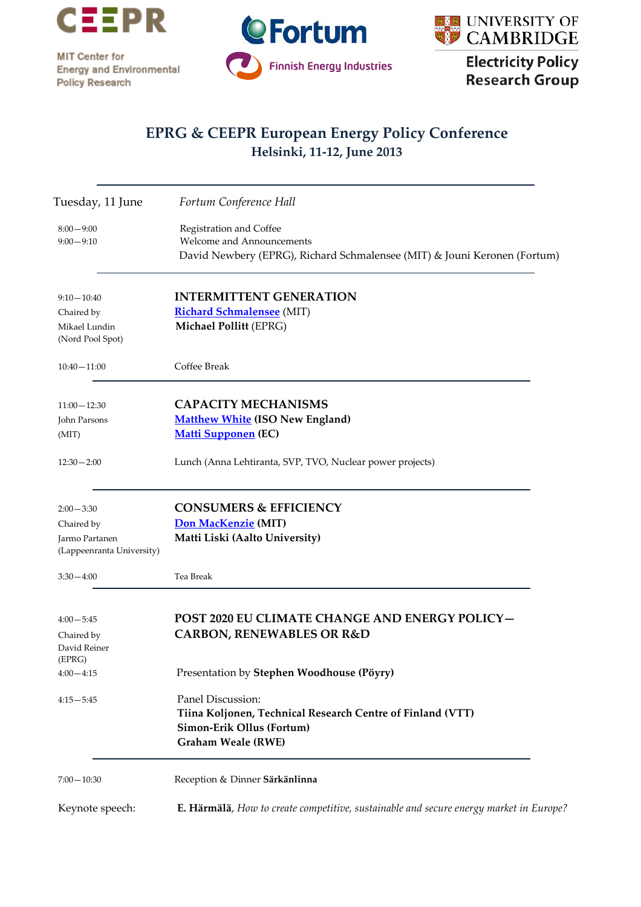

MIT Center for **Energy and Environmental** Policy Research





**Electricity Policy Research Group** 

## **EPRG & CEEPR European Energy Policy Conference Helsinki, 11-12, June 2013**

| Tuesday, 11 June                            | Fortum Conference Hall                                                                                                                    |
|---------------------------------------------|-------------------------------------------------------------------------------------------------------------------------------------------|
| $8:00 - 9:00$<br>$9:00 - 9:10$              | Registration and Coffee<br>Welcome and Announcements<br>David Newbery (EPRG), Richard Schmalensee (MIT) & Jouni Keronen (Fortum)          |
| $9:10 - 10:40$                              | <b>INTERMITTENT GENERATION</b>                                                                                                            |
| Chaired by                                  | <b>Richard Schmalensee</b> (MIT)                                                                                                          |
| Mikael Lundin<br>(Nord Pool Spot)           | Michael Pollitt (EPRG)                                                                                                                    |
| $10:40 - 11:00$                             | Coffee Break                                                                                                                              |
| $11:00 - 12:30$                             | <b>CAPACITY MECHANISMS</b>                                                                                                                |
| John Parsons                                | <b>Matthew White (ISO New England)</b>                                                                                                    |
| (MIT)                                       | <b>Matti Supponen (EC)</b>                                                                                                                |
| $12:30 - 2:00$                              | Lunch (Anna Lehtiranta, SVP, TVO, Nuclear power projects)                                                                                 |
| $2:00 - 3:30$                               | <b>CONSUMERS &amp; EFFICIENCY</b>                                                                                                         |
| Chaired by                                  | Don MacKenzie (MIT)                                                                                                                       |
| Jarmo Partanen<br>(Lappeenranta University) | Matti Liski (Aalto University)                                                                                                            |
| 3:30—4:00                                   | Tea Break                                                                                                                                 |
| $4:00 - 5:45$<br>Chaired by                 | POST 2020 EU CLIMATE CHANGE AND ENERGY POLICY-<br><b>CARBON, RENEWABLES OR R&amp;D</b>                                                    |
| David Reiner                                |                                                                                                                                           |
| (EPRG)<br>$4:00 - 4:15$                     | Presentation by Stephen Woodhouse (Pöyry)                                                                                                 |
| $4:15 - 5:45$                               | Panel Discussion:<br>Tiina Koljonen, Technical Research Centre of Finland (VTT)<br>Simon-Erik Ollus (Fortum)<br><b>Graham Weale (RWE)</b> |
| $7:00 - 10:30$                              | Reception & Dinner Särkänlinna                                                                                                            |
| Keynote speech:                             | E. Härmälä, How to create competitive, sustainable and secure energy market in Europe?                                                    |